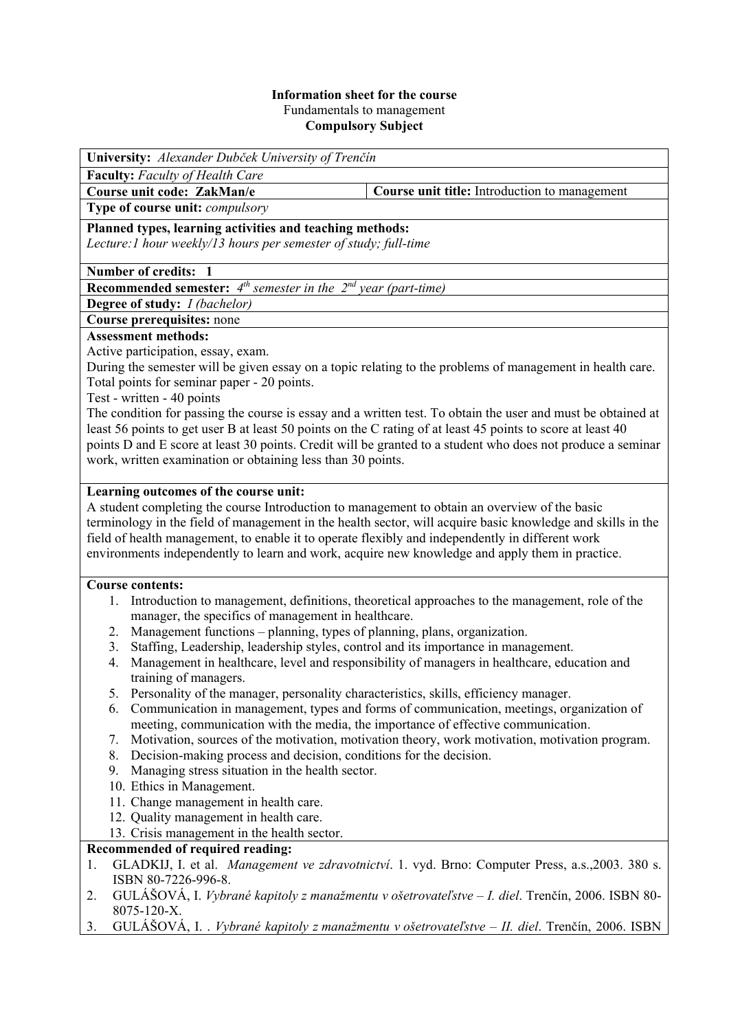#### **Information sheet for the course**  Fundamentals to management **Compulsory Subject**

**University:** *Alexander Dubček University of Trenčín* 

**Faculty:** *Faculty of Health Care* 

**Type of course unit:** *compulsory* 

**Course unit code: ZakMan/e Course unit title:** Introduction to management

**Planned types, learning activities and teaching methods:**  *Lecture:1 hour weekly/13 hours per semester of study; full-time* 

**Number of credits: 1** 

**Recommended semester:** *4th semester in the 2nd year (part-time)* 

**Degree of study:** *I (bachelor)* 

# **Course prerequisites:** none

# **Assessment methods:**

Active participation, essay, exam.

During the semester will be given essay on a topic relating to the problems of management in health care. Total points for seminar paper - 20 points.

Test - written - 40 points

The condition for passing the course is essay and a written test. To obtain the user and must be obtained at least 56 points to get user B at least 50 points on the C rating of at least 45 points to score at least 40 points D and E score at least 30 points. Credit will be granted to a student who does not produce a seminar work, written examination or obtaining less than 30 points.

## **Learning outcomes of the course unit:**

A student completing the course Introduction to management to obtain an overview of the basic terminology in the field of management in the health sector, will acquire basic knowledge and skills in the field of health management, to enable it to operate flexibly and independently in different work environments independently to learn and work, acquire new knowledge and apply them in practice.

### **Course contents:**

- 1. Introduction to management, definitions, theoretical approaches to the management, role of the manager, the specifics of management in healthcare.
- 2. Management functions planning, types of planning, plans, organization.
- 3. Staffing, Leadership, leadership styles, control and its importance in management.
- 4. Management in healthcare, level and responsibility of managers in healthcare, education and training of managers.
- 5. Personality of the manager, personality characteristics, skills, efficiency manager.
- 6. Communication in management, types and forms of communication, meetings, organization of meeting, communication with the media, the importance of effective communication.
- 7. Motivation, sources of the motivation, motivation theory, work motivation, motivation program.
- 8. Decision-making process and decision, conditions for the decision.
- 9. Managing stress situation in the health sector.
- 10. Ethics in Management.
- 11. Change management in health care.
- 12. Quality management in health care.
- 13. Crisis management in the health sector.

### **Recommended of required reading:**

- 1. GLADKIJ, I. et al. *Management ve zdravotnictví*. 1. vyd. Brno: Computer Press, a.s.,2003. 380 s. ISBN 80-7226-996-8.
- 2. GULÁŠOVÁ, I. *Vybrané kapitoly z manažmentu v ošetrovateľstve I. diel*. Trenčín, 2006. ISBN 80- 8075-120-X.
- 3. GULÁŠOVÁ, I. . *Vybrané kapitoly z manažmentu v ošetrovateľstve II. diel*. Trenčín, 2006. ISBN